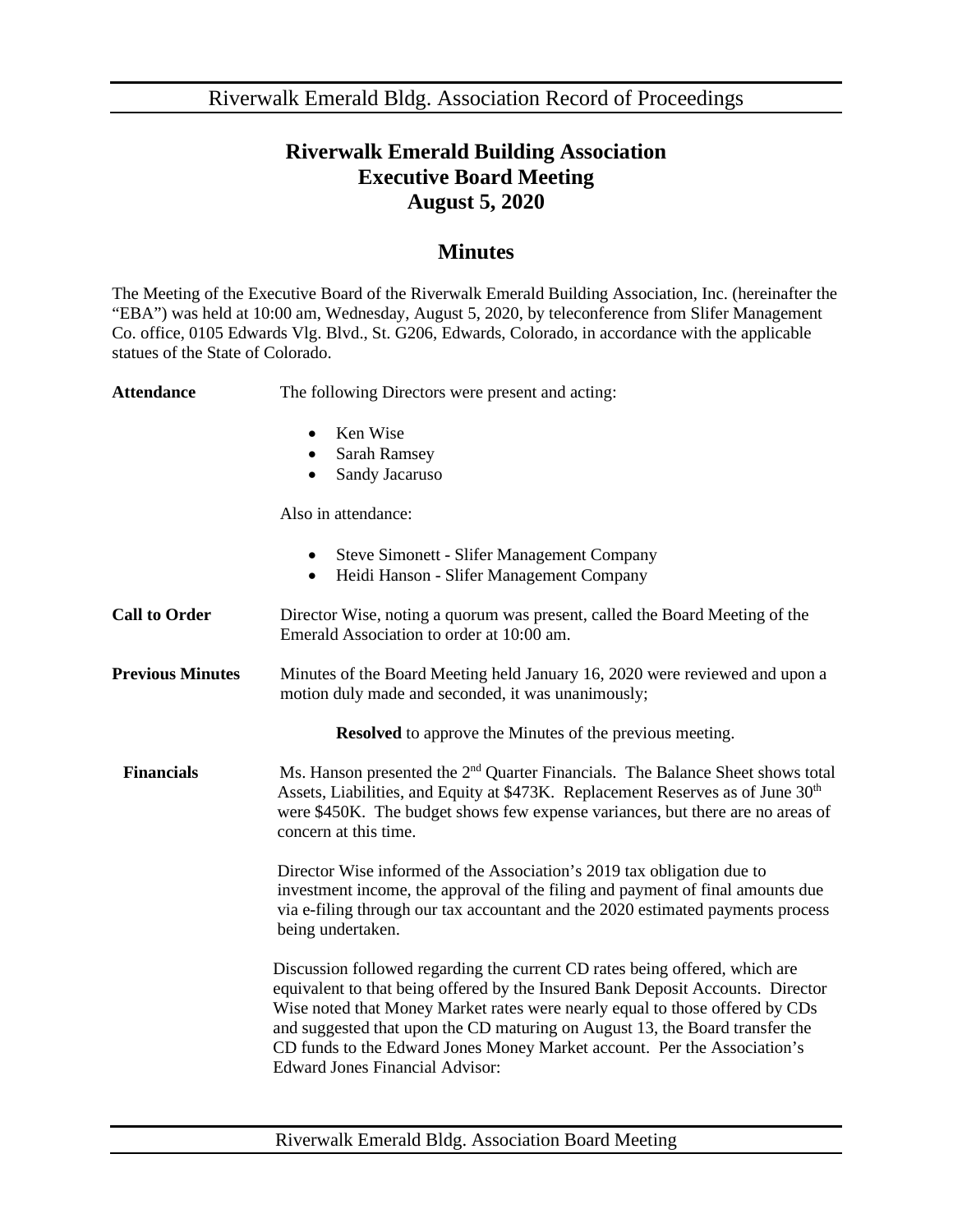Riverwalk Emerald Bldg. Association Record of Proceedings

## **Riverwalk Emerald Building Association Executive Board Meeting August 5, 2020**

## **Minutes**

The Meeting of the Executive Board of the Riverwalk Emerald Building Association, Inc. (hereinafter the "EBA") was held at 10:00 am, Wednesday, August 5, 2020, by teleconference from Slifer Management Co. office, 0105 Edwards Vlg. Blvd., St. G206, Edwards, Colorado, in accordance with the applicable statues of the State of Colorado.

Attendance The following Directors were present and acting:

- Ken Wise
- Sarah Ramsey
- Sandy Jacaruso

Also in attendance:

|  |  | <b>Steve Simonett - Slifer Management Company</b> |  |
|--|--|---------------------------------------------------|--|
|--|--|---------------------------------------------------|--|

- Heidi Hanson Slifer Management Company
- **Call to Order** Director Wise, noting a quorum was present, called the Board Meeting of the Emerald Association to order at 10:00 am.
- **Previous Minutes** Minutes of the Board Meeting held January 16, 2020 were reviewed and upon a motion duly made and seconded, it was unanimously;

**Resolved** to approve the Minutes of the previous meeting.

**Financials** Ms. Hanson presented the 2<sup>nd</sup> Quarter Financials. The Balance Sheet shows total Assets, Liabilities, and Equity at \$473K. Replacement Reserves as of June 30<sup>th</sup> were \$450K. The budget shows few expense variances, but there are no areas of concern at this time.

> Director Wise informed of the Association's 2019 tax obligation due to investment income, the approval of the filing and payment of final amounts due via e-filing through our tax accountant and the 2020 estimated payments process being undertaken.

> Discussion followed regarding the current CD rates being offered, which are equivalent to that being offered by the Insured Bank Deposit Accounts. Director Wise noted that Money Market rates were nearly equal to those offered by CDs and suggested that upon the CD maturing on August 13, the Board transfer the CD funds to the Edward Jones Money Market account. Per the Association's Edward Jones Financial Advisor: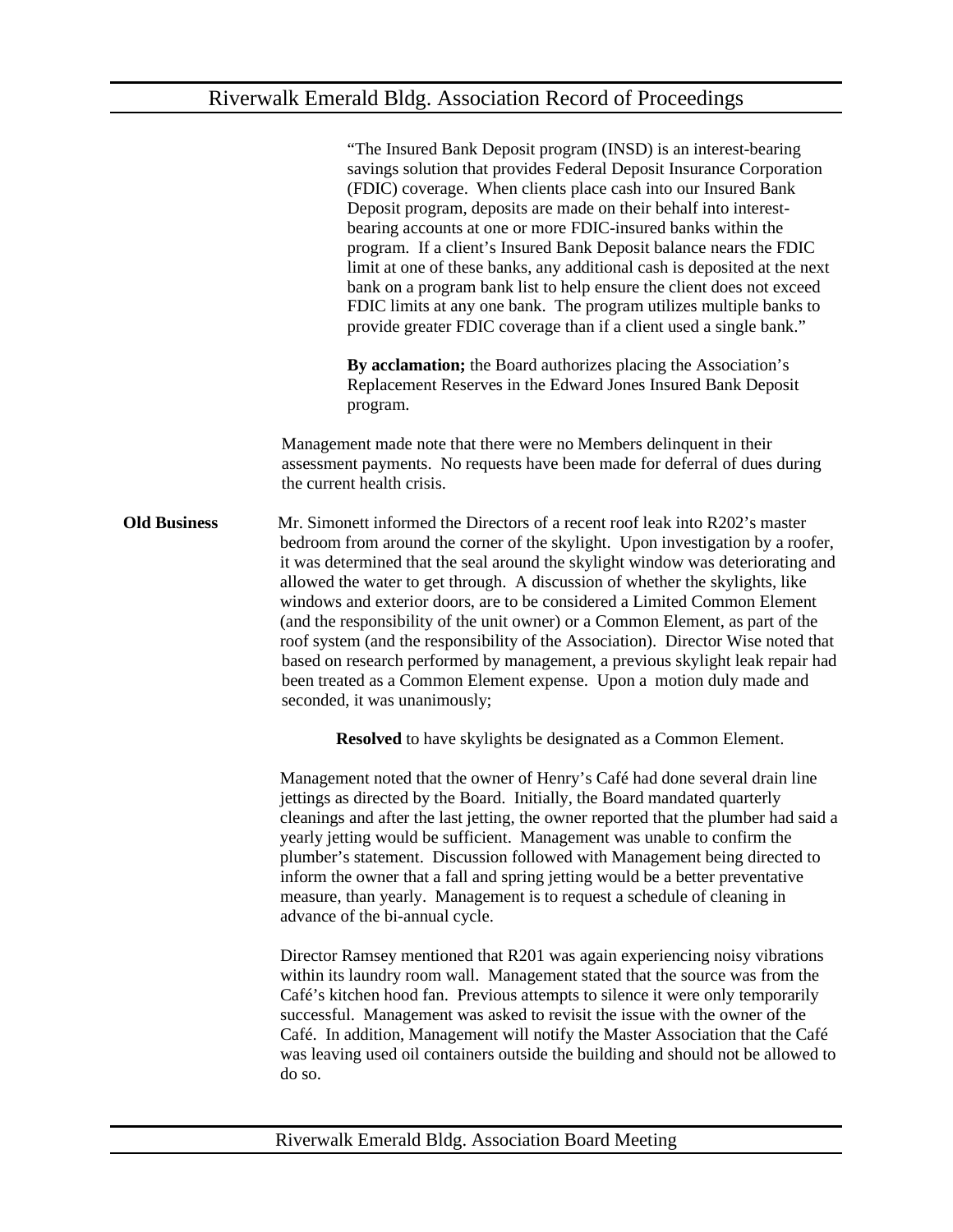"The Insured Bank Deposit program (INSD) is an interest-bearing savings solution that provides Federal Deposit Insurance Corporation (FDIC) coverage. When clients place cash into our Insured Bank Deposit program, deposits are made on their behalf into interestbearing accounts at one or more FDIC-insured banks within the program. If a client's Insured Bank Deposit balance nears the FDIC limit at one of these banks, any additional cash is deposited at the next bank on a program bank list to help ensure the client does not exceed FDIC limits at any one bank. The program utilizes multiple banks to provide greater FDIC coverage than if a client used a single bank."

 **By acclamation;** the Board authorizes placing the Association's Replacement Reserves in the Edward Jones Insured Bank Deposit program.

Management made note that there were no Members delinquent in their assessment payments. No requests have been made for deferral of dues during the current health crisis.

**Old Business** Mr. Simonett informed the Directors of a recent roof leak into R202's master bedroom from around the corner of the skylight. Upon investigation by a roofer, it was determined that the seal around the skylight window was deteriorating and allowed the water to get through. A discussion of whether the skylights, like windows and exterior doors, are to be considered a Limited Common Element (and the responsibility of the unit owner) or a Common Element, as part of the roof system (and the responsibility of the Association). Director Wise noted that based on research performed by management, a previous skylight leak repair had been treated as a Common Element expense. Upon a motion duly made and seconded, it was unanimously;

**Resolved** to have skylights be designated as a Common Element.

Management noted that the owner of Henry's Café had done several drain line jettings as directed by the Board. Initially, the Board mandated quarterly cleanings and after the last jetting, the owner reported that the plumber had said a yearly jetting would be sufficient. Management was unable to confirm the plumber's statement. Discussion followed with Management being directed to inform the owner that a fall and spring jetting would be a better preventative measure, than yearly. Management is to request a schedule of cleaning in advance of the bi-annual cycle.

Director Ramsey mentioned that R201 was again experiencing noisy vibrations within its laundry room wall. Management stated that the source was from the Café's kitchen hood fan. Previous attempts to silence it were only temporarily successful. Management was asked to revisit the issue with the owner of the Café. In addition, Management will notify the Master Association that the Café was leaving used oil containers outside the building and should not be allowed to do so.